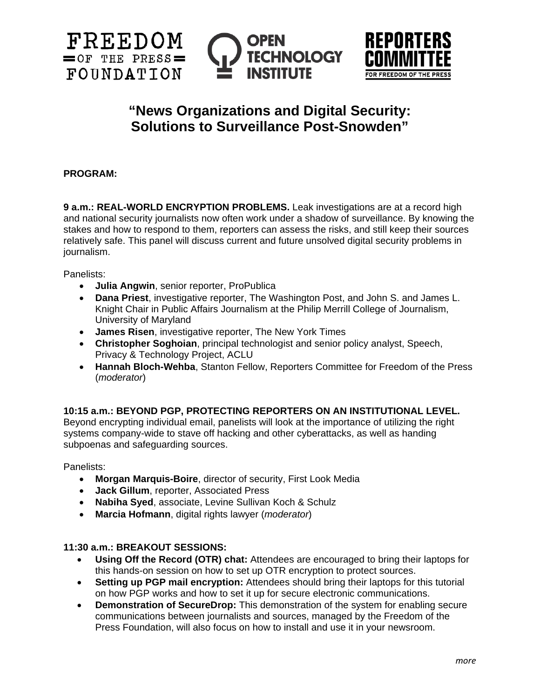





# **"News Organizations and Digital Security: Solutions to Surveillance Post-Snowden"**

## **PROGRAM:**

**9 a.m.: REAL-WORLD ENCRYPTION PROBLEMS.** Leak investigations are at a record high and national security journalists now often work under a shadow of surveillance. By knowing the stakes and how to respond to them, reporters can assess the risks, and still keep their sources relatively safe. This panel will discuss current and future unsolved digital security problems in journalism.

Panelists:

- **Julia Angwin**, senior reporter, ProPublica
- **Dana Priest**, investigative reporter, The Washington Post, and John S. and James L. Knight Chair in Public Affairs Journalism at the Philip Merrill College of Journalism, University of Maryland
- **James Risen**, investigative reporter, The New York Times
- **Christopher Soghoian**, principal technologist and senior policy analyst, Speech, Privacy & Technology Project, ACLU
- **Hannah Bloch-Wehba**, Stanton Fellow, Reporters Committee for Freedom of the Press (*moderator*)

## **10:15 a.m.: BEYOND PGP, PROTECTING REPORTERS ON AN INSTITUTIONAL LEVEL.**

Beyond encrypting individual email, panelists will look at the importance of utilizing the right systems company-wide to stave off hacking and other cyberattacks, as well as handing subpoenas and safeguarding sources.

Panelists:

- **Morgan Marquis-Boire**, director of security, First Look Media
- **Jack Gillum**, reporter, Associated Press
- **Nabiha Syed**, associate, Levine Sullivan Koch & Schulz
- **Marcia Hofmann**, digital rights lawyer (*moderator*)

## **11:30 a.m.: BREAKOUT SESSIONS:**

- **Using Off the Record (OTR) chat:** Attendees are encouraged to bring their laptops for this hands-on session on how to set up OTR encryption to protect sources.
- **Setting up PGP mail encryption:** Attendees should bring their laptops for this tutorial on how PGP works and how to set it up for secure electronic communications.
- **Demonstration of SecureDrop:** This demonstration of the system for enabling secure communications between journalists and sources, managed by the Freedom of the Press Foundation, will also focus on how to install and use it in your newsroom.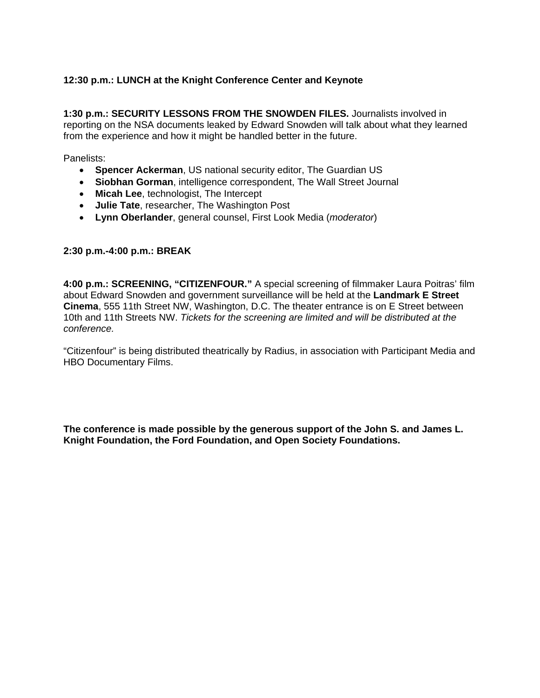# **12:30 p.m.: LUNCH at the Knight Conference Center and Keynote**

**1:30 p.m.: SECURITY LESSONS FROM THE SNOWDEN FILES.** Journalists involved in reporting on the NSA documents leaked by Edward Snowden will talk about what they learned from the experience and how it might be handled better in the future.

Panelists:

- **Spencer Ackerman**, US national security editor, The Guardian US
- **Siobhan Gorman**, intelligence correspondent, The Wall Street Journal
- **Micah Lee**, technologist, The Intercept
- **Julie Tate**, researcher, The Washington Post
- **Lynn Oberlander**, general counsel, First Look Media (*moderator*)

#### **2:30 p.m.-4:00 p.m.: BREAK**

**4:00 p.m.: SCREENING, "CITIZENFOUR."** A special screening of filmmaker Laura Poitras' film about Edward Snowden and government surveillance will be held at the **Landmark E Street Cinema**, 555 11th Street NW, Washington, D.C. The theater entrance is on E Street between 10th and 11th Streets NW. *Tickets for the screening are limited and will be distributed at the conference.* 

"Citizenfour" is being distributed theatrically by Radius, in association with Participant Media and HBO Documentary Films.

**The conference is made possible by the generous support of the John S. and James L. Knight Foundation, the Ford Foundation, and Open Society Foundations.**